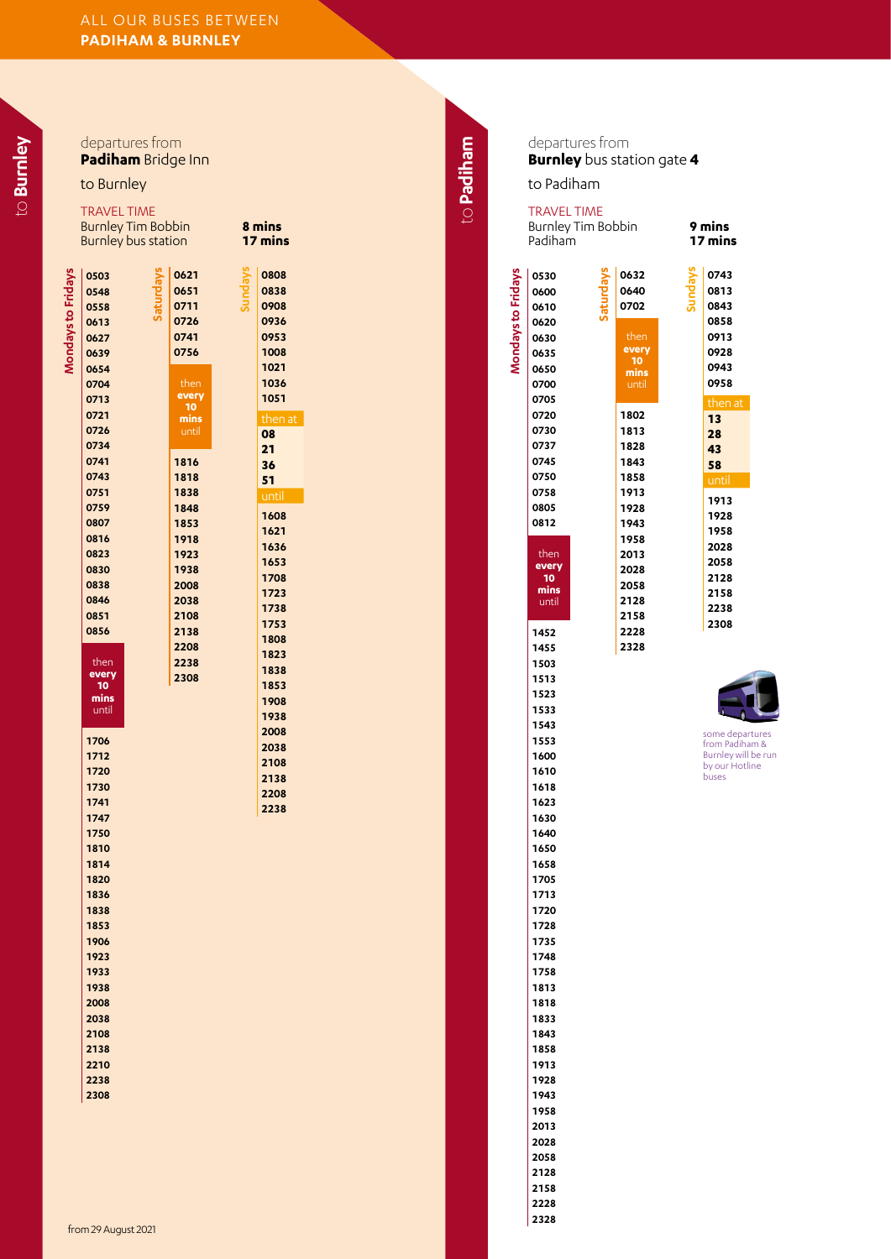departures from **Padiham** Bridge Inn

to Burnley

| ٠<br>u<br>r |
|-------------|
|             |
|             |
| −           |
|             |
|             |
|             |

|                                      | <b>Burnley Tim Bobbin</b><br>Burnley bus station |                                      | 8 mins<br>17 mins                    |
|--------------------------------------|--------------------------------------------------|--------------------------------------|--------------------------------------|
| 0503<br>0548<br>0558<br>0613<br>0627 |                                                  | 0621<br>0651<br>0711<br>0726<br>0741 | 0808<br>0838<br>0908<br>0936<br>0953 |
| 0639<br>0654<br>0704<br>0713         |                                                  | 0756<br>then<br>every<br>10          | 1008<br>1021<br>1036<br>1051         |
| 0721<br>0726<br>0734<br>0741         |                                                  | mins<br>until<br>1816                | then :<br>08<br>21<br>36             |
| 0743<br>0751<br>0759<br>0807<br>0816 |                                                  | 1818<br>1838<br>1848<br>1853<br>1918 | 51<br>until<br>1608<br>1621          |
| 0823<br>0830<br>0838<br>0846         |                                                  | 1923<br>1938<br>2008<br>2038         | 1636<br>1653<br>1708<br>1723         |
| 0851<br>0856<br>then                 |                                                  | 2108<br>2138<br>2208<br>2238         | 1738<br>1753<br>1808<br>1823<br>1838 |
| every<br>10<br>mins<br>until         |                                                  | 2308                                 | 1853<br>1908<br>1938<br>2008         |
| 1706<br>1712<br>1720<br>1730<br>1741 |                                                  |                                      | 2038<br>2108<br>2138<br>2208         |
| 1747<br>1750<br>1810<br>1814         |                                                  |                                      | 2238                                 |
| 1820<br>1836<br>1838<br>1853         |                                                  |                                      |                                      |
| 1906<br>1923<br>1933<br>1938         |                                                  |                                      |                                      |
| 2008<br>2038<br>2108<br>2138         |                                                  |                                      |                                      |
| 2210<br>2238<br>2308                 |                                                  |                                      |                                      |

| 8 mins<br>mins<br>17            |  |  |  |  |
|---------------------------------|--|--|--|--|
| 0808                            |  |  |  |  |
| 0838                            |  |  |  |  |
| 0908                            |  |  |  |  |
| 0936                            |  |  |  |  |
| 0953<br>1008                    |  |  |  |  |
| 1021                            |  |  |  |  |
| 1036                            |  |  |  |  |
| 1051                            |  |  |  |  |
| then at<br>08<br>21<br>36<br>51 |  |  |  |  |
| <u>ūntil</u>                    |  |  |  |  |
|                                 |  |  |  |  |
| 1608                            |  |  |  |  |
| 1621                            |  |  |  |  |
| 1636                            |  |  |  |  |
| 1653                            |  |  |  |  |
| 1708                            |  |  |  |  |
| 1723<br>1738                    |  |  |  |  |
|                                 |  |  |  |  |

to Padiham to **Padiham**

departures from **Burnley** bus station gate **4**

to Padiham

**Mondays to Fridays**

**Mondays to Fridays** 

## then **every mins** until then **every mins Saturdays** TRAVEL TIME Burnley Tim Bobbin **9 mins** Padiham **Sundays** then at until



some departures from Padiham & Burnley will be run by our Hotline buses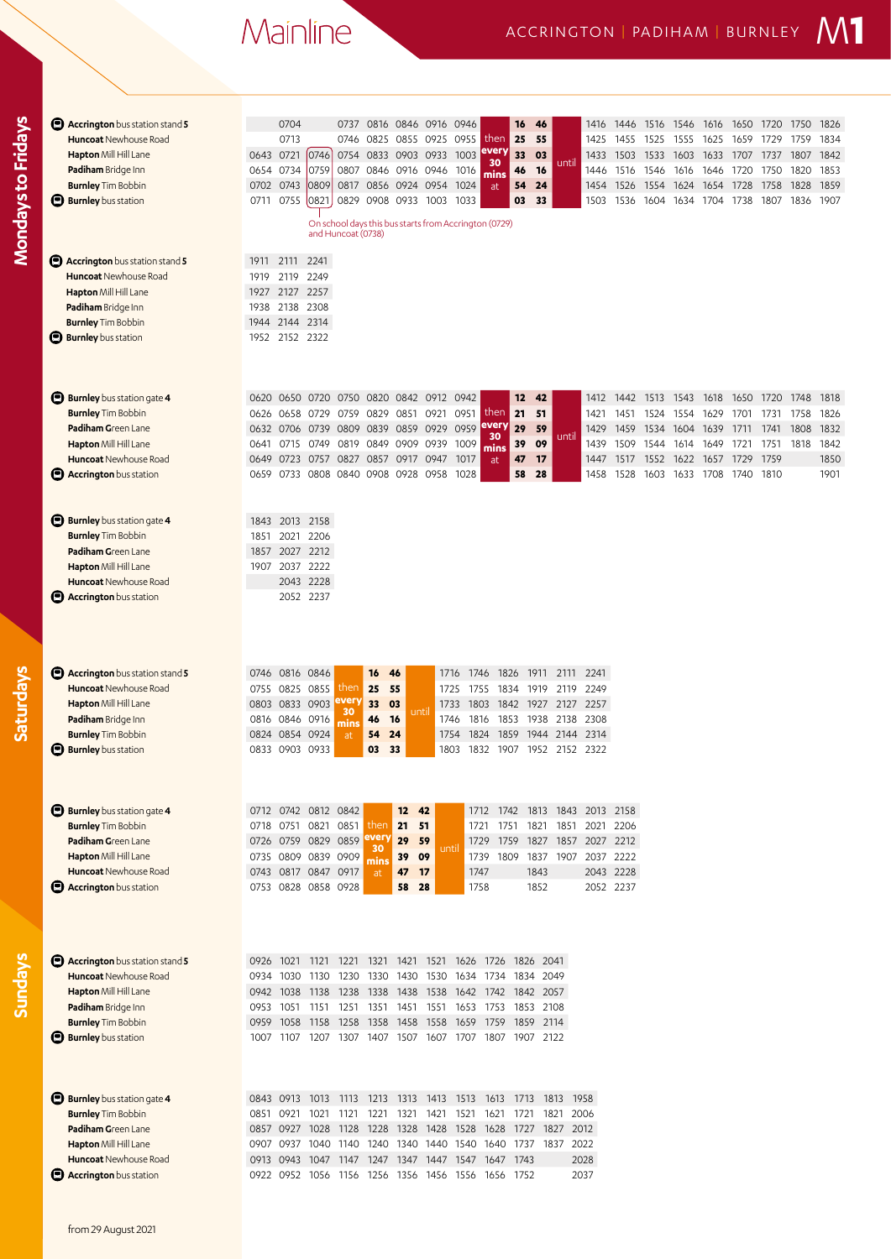## Mainline

| <b>E</b> Accrington bus station stand 5<br><b>Huncoat</b> Newhouse Road<br>Hapton Mill Hill Lane<br>Padiham Bridge Inn<br><b>Burnley</b> Tim Bobbin<br><b>Burnley</b> bus station<br>O<br><b>E</b> Accrington bus station stand 5<br><b>Huncoat</b> Newhouse Road<br>Hapton Mill Hill Lane<br>Padiham Bridge Inn<br><b>Burnley</b> Tim Bobbin<br><b>Burnley</b> bus station | 0704<br>0816 0846 0916 0946<br>46<br>0737<br>16<br>1416<br>1446<br>1516<br>1546<br>1616<br>1650 1720<br>1750<br>1826<br>0713<br>then<br>25<br>55<br>0746<br>0825 0855 0925<br>0955<br>1834<br>1425<br>1455<br>1525<br>1555<br>1625<br>1659<br>1729<br>1759<br>every<br>0643 0721<br>0746<br>1003<br>33<br>03<br>0754 0833 0903 0933<br>1503<br>1807<br>1842<br>1433<br>1533<br>1603<br>1633<br>1707<br>1737<br>30<br>until<br>0759<br>0654 0734<br>0807<br>0846 0916 0946<br>46<br>16<br>1446 1516<br>1820<br>1853<br>1016<br>1546<br>1616<br>1646<br>1720<br>1750<br>mins<br>0702 0743<br>0809<br>0817 0856 0924 0954 1024<br>24<br>1526<br>1624 1654<br>1828<br>1859<br>54<br>1454<br>1554<br>1728<br>1758<br>at<br>0711 0755<br>03<br>0821<br>0829 0908 0933 1003<br>1033<br>33<br>1807 1836<br>1907<br>1503<br>1536<br>1604<br>1634 1704 1738<br>On school days this bus starts from Accrington (0729)<br>and Huncoat (0738)<br>2111<br>2241<br>1911<br>2249<br>1919<br>2119<br>1927 2127 2257<br>1938<br>2138 2308<br>1944 2144<br>2314<br>1952 2152 2322 |
|-----------------------------------------------------------------------------------------------------------------------------------------------------------------------------------------------------------------------------------------------------------------------------------------------------------------------------------------------------------------------------|----------------------------------------------------------------------------------------------------------------------------------------------------------------------------------------------------------------------------------------------------------------------------------------------------------------------------------------------------------------------------------------------------------------------------------------------------------------------------------------------------------------------------------------------------------------------------------------------------------------------------------------------------------------------------------------------------------------------------------------------------------------------------------------------------------------------------------------------------------------------------------------------------------------------------------------------------------------------------------------------------------------------------------------------------------------|
| Θ<br><b>Burnley</b> bus station gate 4<br><b>Burnley</b> Tim Bobbin<br>Padiham Green Lane<br>Hapton Mill Hill Lane<br>Huncoat Newhouse Road<br><b>B</b> Accrington bus station                                                                                                                                                                                              | 0820 0842 0912 0942<br>12<br>42<br>1818<br>0620<br>0650<br>0720<br>0750<br>1412<br>1442<br>1513<br>1543<br>1618<br>1650<br>1720<br>1748<br>then<br>21<br>51<br>0626 0658<br>0729<br>0759<br>0829<br>0851<br>0921<br>0951<br>1421<br>1451<br>1524<br>1554<br>1629<br>1701<br>1731<br>1758<br>1826<br>every<br>0959<br>29<br>0839 0859 0929<br>59<br>1832<br>0632 0706<br>0739<br>0809<br>1429<br>1459<br>1534<br>1604<br>1639<br>1711<br>1741<br>1808<br>30<br>until<br>0819 0849 0909 0939<br>09<br>0749<br>1009<br>39<br>1439<br>1509<br>1751 1818<br>1842<br>0641 0715<br>1544<br>1614 1649<br>1721<br>mins<br>0649 0723<br>0827<br>0857<br>0917 0947<br>1017<br>17<br>1517<br>1729<br>1759<br>1850<br>0757<br>47<br>1552<br>1622 1657<br>1447<br>at<br>0659 0733 0808 0840 0908 0928 0958<br>1028<br>58<br>28<br>1810<br>1901<br>1458<br>1528<br>1603<br>1633<br>1708<br>1740                                                                                                                                                                               |
| <b>Burnley</b> bus station gate 4<br><b>Burnley Tim Bobbin</b><br>Padiham Green Lane<br>Hapton Mill Hill Lane<br><b>Huncoat</b> Newhouse Road<br><b>B</b> Accrington bus station                                                                                                                                                                                            | 2013<br>2158<br>1843<br>2021<br>2206<br>1851<br>1857 2027 2212<br>2037 2222<br>1907<br>2228<br>2043<br>2052 2237                                                                                                                                                                                                                                                                                                                                                                                                                                                                                                                                                                                                                                                                                                                                                                                                                                                                                                                                               |
| <b>Accrington</b> bus station stand 5<br><b>Huncoat</b> Newhouse Road<br>Hapton Mill Hill Lane<br>Padiham Bridge Inn<br><b>Burnley</b> Tim Bobbin<br><b>Burnley</b> bus station                                                                                                                                                                                             | 0746 0816 0846<br>16<br>1746<br>1826<br>1911<br>46<br>1716<br>2111<br>2241<br>25<br>55<br>0755 0825 0855<br>then<br>1755<br>1834<br>2249<br>1725<br>1919<br>2119<br>every<br>0803 0833 0903<br>33<br>03<br>1803<br>1842<br>1927 2127 2257<br>1733<br>30<br>unti<br>0816 0846 0916<br>1746<br>1816<br>1853<br>1938 2138<br>2308<br>46<br>-16<br>mins<br>0824 0854 0924<br>24<br>2314<br>54<br>1754<br>1824<br>1859<br>1944 2144<br>at<br>0833 0903 0933<br>03<br>33<br>1803<br>1832<br>1907<br>1952 2152 2322                                                                                                                                                                                                                                                                                                                                                                                                                                                                                                                                                   |
| <b>Burnley</b> bus station gate 4<br><b>Burnley</b> Tim Bobbin<br>Padiham Green Lane<br><b>Hapton</b> Mill Hill Lane<br><b>Huncoat</b> Newhouse Road<br><b>B</b> Accrington bus station                                                                                                                                                                                     | 0712 0742<br>0812 0842<br>12<br>42<br>1712<br>1742<br>1813 1843<br>2013<br>2158<br>then<br>21<br>0821 0851<br>51<br>2206<br>0718 0751<br>1721<br>1751<br>1821<br>1851<br>2021<br>every<br>0726 0759 0829 0859<br>29<br>59<br>1759<br>1827 1857 2027 2212<br>1729<br>until<br>30<br>0735 0809 0839 0909<br>39<br>1739 1809<br>1837 1907 2037 2222<br>09<br>mins<br>1747<br>0743 0817 0847 0917<br>17<br>1843<br>2043 2228<br>47<br>at<br>0753 0828 0858 0928<br>58<br>28<br>1758<br>1852<br>2052 2237                                                                                                                                                                                                                                                                                                                                                                                                                                                                                                                                                           |
| <b>E</b> Accrington bus station stand 5<br><b>Huncoat</b> Newhouse Road<br>Hapton Mill Hill Lane<br>Padiham Bridge Inn<br><b>Burnley</b> Tim Bobbin<br><b>Burnley</b> bus station                                                                                                                                                                                           | 0926 1021<br>1221 1321<br>1421 1521<br>1626 1726 1826 2041<br>1121<br>0934 1030<br>1430 1530<br>1634 1734<br>1834<br>2049<br>1130<br>1230<br>1330<br>0942 1038<br>1138 1238<br>1338<br>1438 1538<br>1642 1742 1842 2057<br>0953 1051<br>1151<br>1251<br>1351<br>1451 1551<br>1653 1753<br>1853 2108<br>0959<br>1158<br>1258<br>1358<br>1458 1558<br>1659<br>1759<br>1859<br>2114<br>1058<br>1207<br>1307<br>1407 1507<br>1707<br>1807<br>1907 2122<br>1007<br>1107<br>1607                                                                                                                                                                                                                                                                                                                                                                                                                                                                                                                                                                                     |
| <b>Burnley</b> bus station gate 4<br><b>Burnley</b> Tim Bobbin<br>Padiham Green Lane<br>Hapton Mill Hill Lane<br><b>Huncoat</b> Newhouse Road<br><b>Accrington</b> bus station                                                                                                                                                                                              | 0843 0913<br>1213<br>1313 1413<br>1513<br>1613<br>1813 1958<br>1013<br>1113<br>1713<br>0851 0921<br>1221<br>1321<br>1421<br>1521<br>1621<br>1721<br>1821<br>2006<br>1021<br>1121<br>0857 0927<br>1028<br>1128<br>1228<br>1328<br>1428<br>1528<br>1628<br>1827<br>2012<br>1727<br>1340 1440 1540 1640<br>1737 1837<br>2022<br>0907 0937 1040 1140<br>1240<br>0913 0943<br>1047 1147<br>1247<br>1347 1447 1547 1647 1743<br>2028<br>2037<br>0922 0952 1056 1156 1256 1356 1456 1556 1656 1752                                                                                                                                                                                                                                                                                                                                                                                                                                                                                                                                                                    |

**Saturdays**

from 29 August 2021